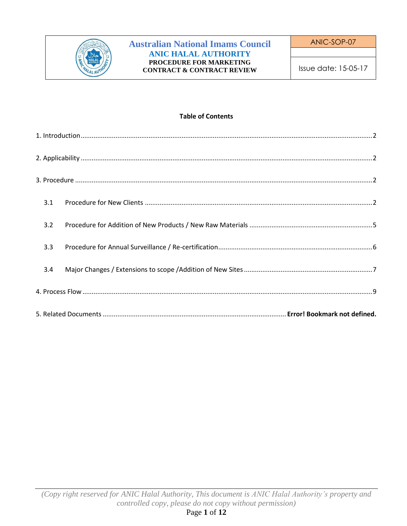

#### **Table of Contents**

| 3.1 |
|-----|
| 3.2 |
| 3.3 |
| 3.4 |
|     |
|     |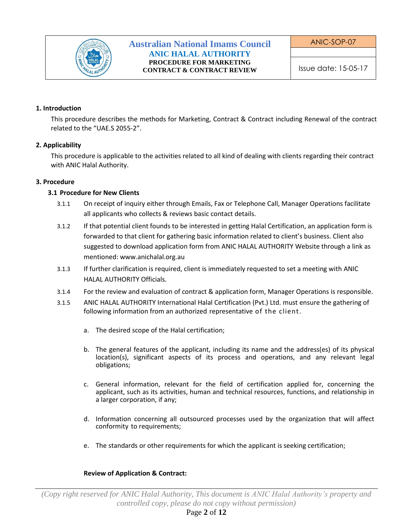

ANIC-SOP-07

### <span id="page-1-0"></span>**1. Introduction**

This procedure describes the methods for Marketing, Contract & Contract including Renewal of the contract related to the "UAE.S 2055-2".

### <span id="page-1-1"></span>**2. Applicability**

This procedure is applicable to the activities related to all kind of dealing with clients regarding their contract with ANIC Halal Authority.

### <span id="page-1-3"></span><span id="page-1-2"></span>**3. Procedure**

## **3.1 Procedure for New Clients**

- 3.1.1 On receipt of inquiry either through Emails, Fax or Telephone Call, Manager Operations facilitate all applicants who collects & reviews basic contact details.
- 3.1.2 If that potential client founds to be interested in getting Halal Certification, an application form is forwarded to that client for gathering basic information related to client's business. Client also suggested to download application form from ANIC HALAL AUTHORITY Website through a link as mentioned: www.anichalal.org.au
- 3.1.3 If further clarification is required, client is immediately requested to set a meeting with ANIC HALAL AUTHORITY Officials.
- 3.1.4 For the review and evaluation of contract & application form, Manager Operations is responsible.
- 3.1.5 ANIC HALAL AUTHORITY International Halal Certification (Pvt.) Ltd. must ensure the gathering of following information from an authorized representative of the client.
	- a. The desired scope of the Halal certification;
	- b. The general features of the applicant, including its name and the address(es) of its physical location(s), significant aspects of its process and operations, and any relevant legal obligations;
	- c. General information, relevant for the field of certification applied for, concerning the applicant, such as its activities, human and technical resources, functions, and relationship in a larger corporation, if any;
	- d. Information concerning all outsourced processes used by the organization that will affect conformity to requirements;
	- e. The standards or other requirements for which the applicant is seeking certification;

#### **Review of Application & Contract:**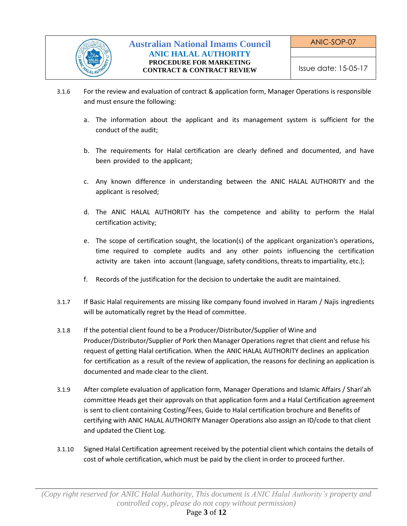

- 3.1.6 For the review and evaluation of contract & application form, Manager Operations is responsible and must ensure the following:
	- a. The information about the applicant and its management system is sufficient for the conduct of the audit;
	- b. The requirements for Halal certification are clearly defined and documented, and have been provided to the applicant;
	- c. Any known difference in understanding between the ANIC HALAL AUTHORITY and the applicant is resolved;
	- d. The ANIC HALAL AUTHORITY has the competence and ability to perform the Halal certification activity;
	- e. The scope of certification sought, the location(s) of the applicant organization's operations, time required to complete audits and any other points influencing the certification activity are taken into account (language, safety conditions, threats to impartiality, etc.);
	- f. Records of the justification for the decision to undertake the audit are maintained.
- 3.1.7 If Basic Halal requirements are missing like company found involved in Haram / Najis ingredients will be automatically regret by the Head of committee.
- 3.1.8 If the potential client found to be a Producer/Distributor/Supplier of Wine and Producer/Distributor/Supplier of Pork then Manager Operations regret that client and refuse his request of getting Halal certification. When the ANIC HALAL AUTHORITY declines an application for certification as a result of the review of application, the reasons for declining an application is documented and made clear to the client.
- 3.1.9 After complete evaluation of application form, Manager Operations and Islamic Affairs / Shari'ah committee Heads get their approvals on that application form and a Halal Certification agreement is sent to client containing Costing/Fees, Guide to Halal certification brochure and Benefits of certifying with ANIC HALAL AUTHORITY Manager Operations also assign an ID/code to that client and updated the Client Log.
- 3.1.10 Signed Halal Certification agreement received by the potential client which contains the details of cost of whole certification, which must be paid by the client in order to proceed further.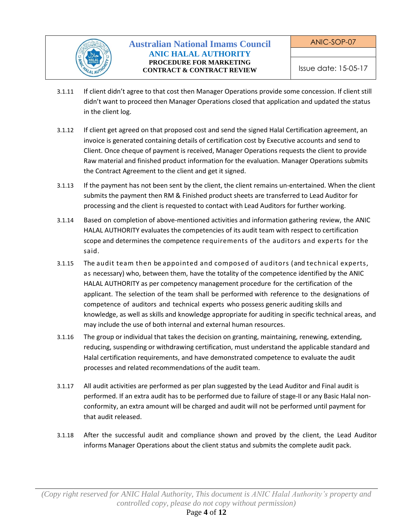

- 3.1.11 If client didn't agree to that cost then Manager Operations provide some concession. If client still didn't want to proceed then Manager Operations closed that application and updated the status in the client log.
- 3.1.12 If client get agreed on that proposed cost and send the signed Halal Certification agreement, an invoice is generated containing details of certification cost by Executive accounts and send to Client. Once cheque of payment is received, Manager Operations requests the client to provide Raw material and finished product information for the evaluation. Manager Operations submits the Contract Agreement to the client and get it signed.
- 3.1.13 If the payment has not been sent by the client, the client remains un-entertained. When the client submits the payment then RM & Finished product sheets are transferred to Lead Auditor for processing and the client is requested to contact with Lead Auditors for further working.
- 3.1.14 Based on completion of above-mentioned activities and information gathering review, the ANIC HALAL AUTHORITY evaluates the competencies of its audit team with respect to certification scope and determines the competence requirements of the auditors and experts for the said.
- 3.1.15 The audit team then be appointed and composed of auditors (and technical experts, as necessary) who, between them, have the totality of the competence identified by the ANIC HALAL AUTHORITY as per competency management procedure for the certification of the applicant. The selection of the team shall be performed with reference to the designations of competence of auditors and technical experts who possess generic auditing skills and knowledge, as well as skills and knowledge appropriate for auditing in specific technical areas, and may include the use of both internal and external human resources.
- 3.1.16 The group or individual that takes the decision on granting, maintaining, renewing, extending, reducing, suspending or withdrawing certification, must understand the applicable standard and Halal certification requirements, and have demonstrated competence to evaluate the audit processes and related recommendations of the audit team.
- 3.1.17 All audit activities are performed as per plan suggested by the Lead Auditor and Final audit is performed. If an extra audit has to be performed due to failure of stage-II or any Basic Halal nonconformity, an extra amount will be charged and audit will not be performed until payment for that audit released.
- 3.1.18 After the successful audit and compliance shown and proved by the client, the Lead Auditor informs Manager Operations about the client status and submits the complete audit pack.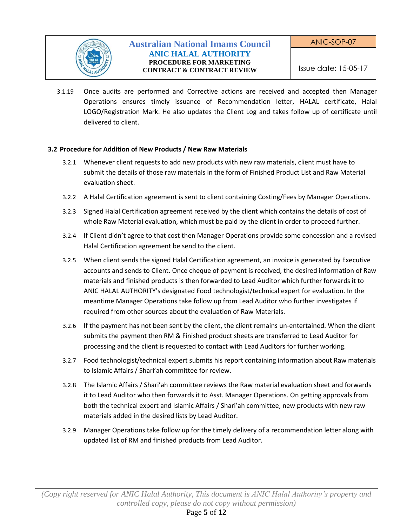

3.1.19 Once audits are performed and Corrective actions are received and accepted then Manager Operations ensures timely issuance of Recommendation letter, HALAL certificate, Halal LOGO/Registration Mark. He also updates the Client Log and takes follow up of certificate until delivered to client.

## <span id="page-4-0"></span>**3.2 Procedure for Addition of New Products / New Raw Materials**

- 3.2.1 Whenever client requests to add new products with new raw materials, client must have to submit the details of those raw materials in the form of Finished Product List and Raw Material evaluation sheet.
- 3.2.2 A Halal Certification agreement is sent to client containing Costing/Fees by Manager Operations.
- 3.2.3 Signed Halal Certification agreement received by the client which contains the details of cost of whole Raw Material evaluation, which must be paid by the client in order to proceed further.
- 3.2.4 If Client didn't agree to that cost then Manager Operations provide some concession and a revised Halal Certification agreement be send to the client.
- 3.2.5 When client sends the signed Halal Certification agreement, an invoice is generated by Executive accounts and sends to Client. Once cheque of payment is received, the desired information of Raw materials and finished products is then forwarded to Lead Auditor which further forwards it to ANIC HALAL AUTHORITY's designated Food technologist/technical expert for evaluation. In the meantime Manager Operations take follow up from Lead Auditor who further investigates if required from other sources about the evaluation of Raw Materials.
- 3.2.6 If the payment has not been sent by the client, the client remains un-entertained. When the client submits the payment then RM & Finished product sheets are transferred to Lead Auditor for processing and the client is requested to contact with Lead Auditors for further working.
- 3.2.7 Food technologist/technical expert submits his report containing information about Raw materials to Islamic Affairs / Shari'ah committee for review.
- 3.2.8 The Islamic Affairs / Shari'ah committee reviews the Raw material evaluation sheet and forwards it to Lead Auditor who then forwards it to Asst. Manager Operations. On getting approvals from both the technical expert and Islamic Affairs / Shari'ah committee, new products with new raw materials added in the desired lists by Lead Auditor.
- 3.2.9 Manager Operations take follow up for the timely delivery of a recommendation letter along with updated list of RM and finished products from Lead Auditor.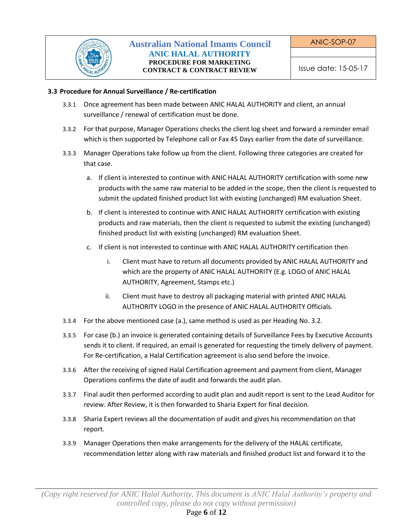

## <span id="page-5-0"></span>**3.3 Procedure for Annual Surveillance / Re-certification**

- 3.3.1 Once agreement has been made between ANIC HALAL AUTHORITY and client, an annual surveillance / renewal of certification must be done.
- 3.3.2 For that purpose, Manager Operations checks the client log sheet and forward a reminder email which is then supported by Telephone call or Fax 45 Days earlier from the date of surveillance.
- 3.3.3 Manager Operations take follow up from the client. Following three categories are created for that case.
	- a. If client is interested to continue with ANIC HALAL AUTHORITY certification with some new products with the same raw material to be added in the scope, then the client is requested to submit the updated finished product list with existing (unchanged) RM evaluation Sheet.
	- b. If client is interested to continue with ANIC HALAL AUTHORITY certification with existing products and raw materials, then the client is requested to submit the existing (unchanged) finished product list with existing (unchanged) RM evaluation Sheet.
	- c. If client is not interested to continue with ANIC HALAL AUTHORITY certification then
		- i. Client must have to return all documents provided by ANIC HALAL AUTHORITY and which are the property of ANIC HALAL AUTHORITY (E.g. LOGO of ANIC HALAL AUTHORITY, Agreement, Stamps etc.)
		- ii. Client must have to destroy all packaging material with printed ANIC HALAL AUTHORITY LOGO in the presence of ANIC HALAL AUTHORITY Officials.
- 3.3.4 For the above mentioned case (a.), same method is used as per Heading No. 3.2.
- 3.3.5 For case (b.) an invoice is generated containing details of Surveillance Fees by Executive Accounts sends it to client. If required, an email is generated for requesting the timely delivery of payment. For Re-certification, a Halal Certification agreement is also send before the invoice.
- 3.3.6 After the receiving of signed Halal Certification agreement and payment from client, Manager Operations confirms the date of audit and forwards the audit plan.
- 3.3.7 Final audit then performed according to audit plan and audit report is sent to the Lead Auditor for review. After Review, it is then forwarded to Sharia Expert for final decision.
- 3.3.8 Sharia Expert reviews all the documentation of audit and gives his recommendation on that report.
- 3.3.9 Manager Operations then make arrangements for the delivery of the HALAL certificate, recommendation letter along with raw materials and finished product list and forward it to the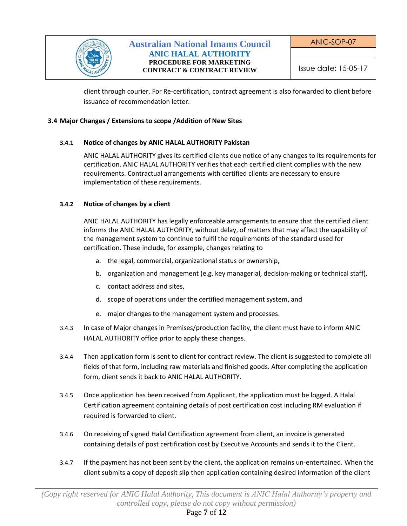

ANIC-SOP-07

client through courier. For Re-certification, contract agreement is also forwarded to client before issuance of recommendation letter.

## <span id="page-6-0"></span>**3.4 Major Changes / Extensions to scope /Addition of New Sites**

# **3.4.1 Notice of changes by ANIC HALAL AUTHORITY Pakistan**

ANIC HALAL AUTHORITY gives its certified clients due notice of any changes to its requirements for certification. ANIC HALAL AUTHORITY verifies that each certified client complies with the new requirements. Contractual arrangements with certified clients are necessary to ensure implementation of these requirements.

# **3.4.2 Notice of changes by a client**

ANIC HALAL AUTHORITY has legally enforceable arrangements to ensure that the certified client informs the ANIC HALAL AUTHORITY, without delay, of matters that may affect the capability of the management system to continue to fulfil the requirements of the standard used for certification. These include, for example, changes relating to

- a. the legal, commercial, organizational status or ownership,
- b. organization and management (e.g. key managerial, decision-making or technical staff),
- c. contact address and sites,
- d. scope of operations under the certified management system, and
- e. major changes to the management system and processes.
- 3.4.3 In case of Major changes in Premises/production facility, the client must have to inform ANIC HALAL AUTHORITY office prior to apply these changes.
- 3.4.4 Then application form is sent to client for contract review. The client is suggested to complete all fields of that form, including raw materials and finished goods. After completing the application form, client sends it back to ANIC HALAL AUTHORITY.
- 3.4.5 Once application has been received from Applicant, the application must be logged. A Halal Certification agreement containing details of post certification cost including RM evaluation if required is forwarded to client.
- 3.4.6 On receiving of signed Halal Certification agreement from client, an invoice is generated containing details of post certification cost by Executive Accounts and sends it to the Client.
- 3.4.7 If the payment has not been sent by the client, the application remains un-entertained. When the client submits a copy of deposit slip then application containing desired information of the client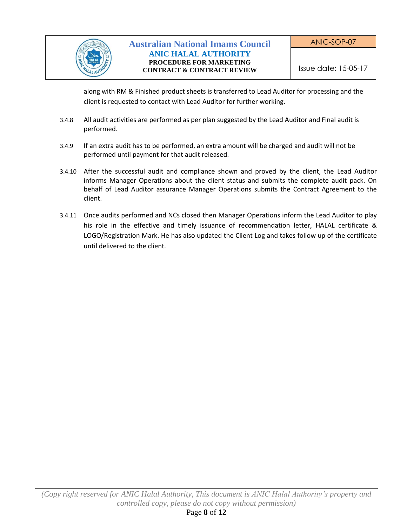

along with RM & Finished product sheets is transferred to Lead Auditor for processing and the client is requested to contact with Lead Auditor for further working.

- 3.4.8 All audit activities are performed as per plan suggested by the Lead Auditor and Final audit is performed.
- 3.4.9 If an extra audit has to be performed, an extra amount will be charged and audit will not be performed until payment for that audit released.
- 3.4.10 After the successful audit and compliance shown and proved by the client, the Lead Auditor informs Manager Operations about the client status and submits the complete audit pack. On behalf of Lead Auditor assurance Manager Operations submits the Contract Agreement to the client.
- 3.4.11 Once audits performed and NCs closed then Manager Operations inform the Lead Auditor to play his role in the effective and timely issuance of recommendation letter, HALAL certificate & LOGO/Registration Mark. He has also updated the Client Log and takes follow up of the certificate until delivered to the client.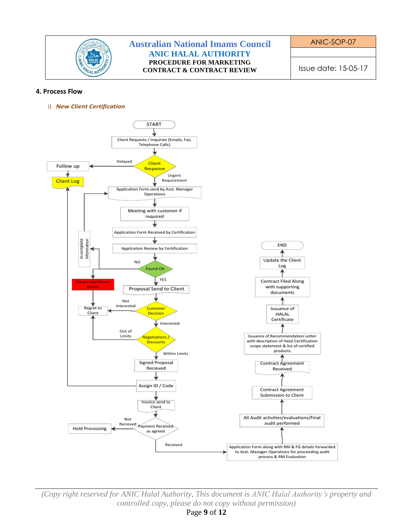

<span id="page-8-0"></span>i) *New Client Certification* **4. Process Flow**



*(Copy right reserved for ANIC Halal Authority, This document is ANIC Halal Authority's property and controlled copy, please do not copy without permission)*

Page **9** of **12**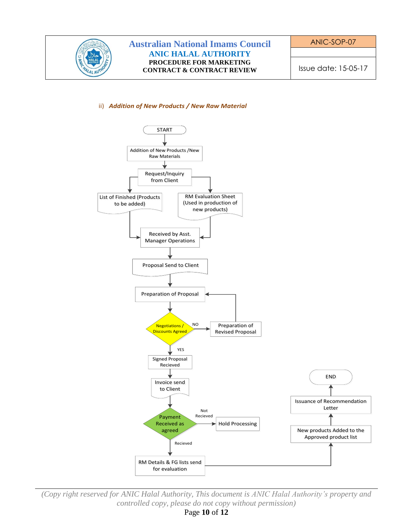

#### ii) *Addition of New Products / New Raw Material*



*(Copy right reserved for ANIC Halal Authority, This document is ANIC Halal Authority's property and controlled copy, please do not copy without permission)*

Page **10** of **12**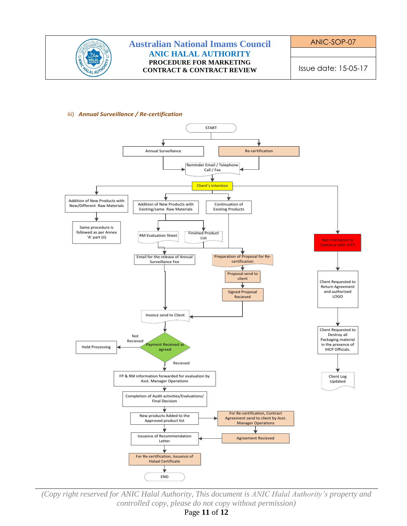

#### iii) Annual Surveillance / Re-certification



(Copy right reserved for ANIC Halal Authority, This document is ANIC Halal Authority's property and controlled copy, please do not copy without permission)